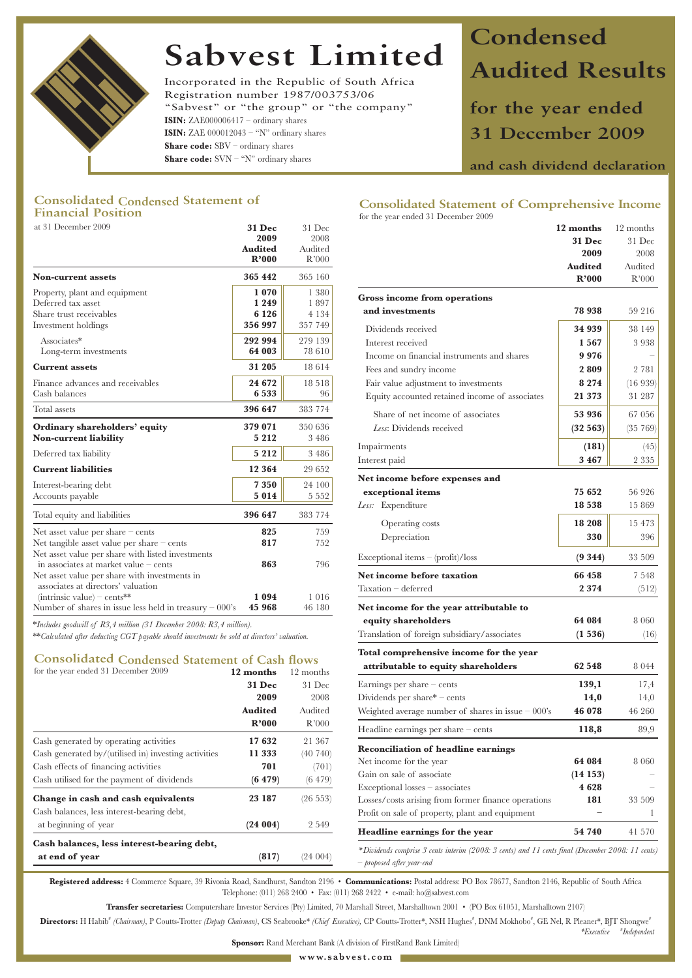

# **Sabvest Limited**

Incorporated in the Republic of South Africa Registration number 1987/003753/06 "Sabvest" or "the group" or "the company" **ISIN:** ZAE000006417 – ordinary shares **ISIN:** ZAE  $000012043 - "N"$  ordinary shares **Share code:** SBV – ordinary shares **Share code:** SVN – "N" ordinary shares

# **Condensed Audited Results**

**for the year ended 31 December 2009**

**and cash dividend declaration**

# **Consolidated Condensed Statement of Financial Position**

| at 31 December 2009                                       | <b>31 Dec</b> | 31 Dec  |
|-----------------------------------------------------------|---------------|---------|
|                                                           | 2009          | 2008    |
|                                                           | Audited       | Audited |
|                                                           | R'000         | R'000   |
| <b>Non-current assets</b>                                 | 365 442       | 365 160 |
| Property, plant and equipment                             | 1070          | 1 380   |
| Deferred tax asset                                        | 1 2 4 9       | 1897    |
| Share trust receivables                                   | 6 1 2 6       | 4 1 3 4 |
| Investment holdings                                       | 356 997       | 357 749 |
| Associates*                                               | 292 994       | 279 139 |
| Long-term investments                                     | 64 003        | 78 610  |
| <b>Current assets</b>                                     | 31 205        | 18614   |
| Finance advances and receivables                          | 24 672        | 18518   |
| Cash balances                                             | 6533          | 96      |
| Total assets                                              | 396 647       | 383 774 |
| Ordinary shareholders' equity                             | 379 071       | 350 636 |
| <b>Non-current liability</b>                              | 5 2 1 2       | 3 4 8 6 |
| Deferred tax liability                                    | 5 2 1 2       | 3 4 8 6 |
| <b>Current liabilities</b>                                | 12 3 6 4      | 29 652  |
| Interest-bearing debt                                     | 7350          | 24 100  |
| Accounts payable                                          | 5014          | 5 5 5 2 |
| Total equity and liabilities                              | 396 647       | 383 774 |
| Net asset value per share $-$ cents                       | 825           | 759     |
| Net tangible asset value per share - cents                | 817           | 752     |
| Net asset value per share with listed investments         |               |         |
| in associates at market value $-$ cents                   | 863           | 796     |
| Net asset value per share with investments in             |               |         |
| associates at directors' valuation                        |               |         |
| $\text{intrinsic value}$ – cents**                        | 1094          | 1016    |
| Number of shares in issue less held in treasury $-000$ 's | 45 968        | 46 180  |

## **Consolidated Condensed Statement of Cash flows**

| for the year ended 31 December 2009                  | 12 months      | 12 months |
|------------------------------------------------------|----------------|-----------|
|                                                      | <b>31 Dec</b>  | 31 Dec    |
|                                                      | 2009           | 2008      |
|                                                      | <b>Audited</b> | Audited   |
|                                                      | R'000          | R'000     |
| Cash generated by operating activities               | 17632          | 21 367    |
| Cash generated by/(utilised in) investing activities | 11 333         | (40740)   |
| Cash effects of financing activities                 | 701            | (701)     |
| Cash utilised for the payment of dividends           | (6479)         | (6479)    |
| Change in cash and cash equivalents                  | 23 187         | (26 553)  |
| Cash balances, less interest-bearing debt,           |                |           |
| at beginning of year                                 | (24004)        | 2 5 4 9   |
| Cash balances, less interest-bearing debt,           |                |           |
| at end of year                                       | (817)          | (24 004)  |

## **Consolidated Statement of Comprehensive Income**  for the year ended 31 December 2009

| at 31 December 2009                                                                                                                                                                                                             | 31 Dec<br>2009<br>Audited<br>R'000 | 31 Dec<br>2008<br>Audited<br>R'000   |                                                                                                                                           | 12 months<br>31 Dec<br>2009             | 12 months<br>31 Dec<br>2008 |
|---------------------------------------------------------------------------------------------------------------------------------------------------------------------------------------------------------------------------------|------------------------------------|--------------------------------------|-------------------------------------------------------------------------------------------------------------------------------------------|-----------------------------------------|-----------------------------|
| Non-current assets                                                                                                                                                                                                              | 365 442                            | 365 160                              |                                                                                                                                           | <b>Audited</b><br>R'000                 | Audited<br>R'000            |
| Property, plant and equipment<br>Deferred tax asset                                                                                                                                                                             | 1070<br>1 2 4 9                    | 1 3 8 0<br>1897                      | Gross income from operations<br>and investments                                                                                           | 78 938                                  | 59 216                      |
| Share trust receivables<br>Investment holdings                                                                                                                                                                                  | 6 1 2 6<br>356 997                 | 4 1 3 4<br>357 749                   | Dividends received                                                                                                                        | 34 939                                  | 38 149                      |
| Associates*<br>Long-term investments                                                                                                                                                                                            | 292 994<br>64 003                  | 279 139<br>78 610                    | Interest received<br>Income on financial instruments and shares                                                                           | 1567<br>9976                            | 3938                        |
| Current assets                                                                                                                                                                                                                  | 31 205                             | 18614                                | Fees and sundry income                                                                                                                    | 2809                                    | 2 781                       |
| Finance advances and receivables<br>Cash balances                                                                                                                                                                               | 24 672<br>6 5 3 3                  | 18 518<br>96                         | Fair value adjustment to investments<br>Equity accounted retained income of associates                                                    | 8 2 7 4<br>21 373                       | (16939)<br>31 287           |
| Total assets                                                                                                                                                                                                                    | 396 647                            | 383 774                              | Share of net income of associates                                                                                                         | 53 936                                  | 67 056                      |
| Ordinary shareholders' equity<br>Non-current liability                                                                                                                                                                          | 379 071<br>5 2 1 2                 | 350 636<br>3 4 8 6                   | Less: Dividends received                                                                                                                  | (32563)                                 | (35 769)                    |
| Deferred tax liability                                                                                                                                                                                                          | 5 2 1 2                            | 3 4 8 6                              | Impairments<br>Interest paid                                                                                                              | (181)<br>3 4 6 7                        | (45)<br>2 3 3 5             |
| Current liabilities                                                                                                                                                                                                             | 12 3 6 4                           | 29 652                               |                                                                                                                                           |                                         |                             |
| Interest-bearing debt<br>Accounts payable                                                                                                                                                                                       | 7350<br>5 0 1 4                    | 24 100<br>5 5 5 2                    | Net income before expenses and<br>exceptional items<br>Less: Expenditure                                                                  | 75 652<br>18 5 38                       | 56 926<br>15 869            |
| Total equity and liabilities                                                                                                                                                                                                    | 396 647                            | 383 774                              |                                                                                                                                           |                                         |                             |
| Net asset value per share - cents<br>Net tangible asset value per share - cents                                                                                                                                                 | 825<br>817                         | 759<br>752                           | Operating costs<br>Depreciation                                                                                                           | 18 208<br>330                           | 15 473<br>396               |
| Net asset value per share with listed investments<br>in associates at market value - cents<br>Net asset value per share with investments in                                                                                     | 863                                | 796                                  | Exceptional items $-(\text{profit})/\text{loss}$<br>Net income before taxation                                                            | $(9\;344)$<br>66 458                    | 33 509<br>7 5 4 8           |
| associates at directors' valuation<br>$(inttrinsic value) - cents**$                                                                                                                                                            | 1094                               | 1016                                 | Taxation - deferred                                                                                                                       | 2374                                    | (512)                       |
| Number of shares in issue less held in treasury – 000's<br>*Includes goodwill of R3,4 million (31 December 2008: R3,4 million).<br>**Calculated after deducting CGT payable should investments be sold at directors' valuation. | 45 968                             | 46 180                               | Net income for the year attributable to<br>equity shareholders<br>Translation of foreign subsidiary/associates                            | 64 084<br>(1536)                        | 8 0 6 0<br>(16)             |
| <b>Consolidated Condensed Statement of Cash flows</b><br>for the year ended 31 December 2009                                                                                                                                    |                                    |                                      | Total comprehensive income for the year<br>attributable to equity shareholders                                                            | 62 548                                  | 8 0 4 4                     |
|                                                                                                                                                                                                                                 | 12 months<br><b>31 Dec</b>         | 12 months<br>31 Dec                  | Earnings per share - cents                                                                                                                | 139,1                                   | 17,4                        |
|                                                                                                                                                                                                                                 | 2009                               | 2008                                 | Dividends per share $*$ – cents                                                                                                           | 14,0                                    | 14,0                        |
|                                                                                                                                                                                                                                 | <b>Audited</b>                     | Audited                              | Weighted average number of shares in issue $-000$ 's                                                                                      | 46 078                                  | 46 260                      |
|                                                                                                                                                                                                                                 | R'000                              | R'000                                | Headline earnings per share $-$ cents                                                                                                     | 118,8                                   | 89,9                        |
| Cash generated by operating activities<br>Cash generated by/(utilised in) investing activities<br>Cash effects of financing activities<br>Cash utilised for the payment of dividends                                            | 17632<br>11 3 33<br>701<br>(6479)  | 21 367<br>(40740)<br>(701)<br>(6479) | <b>Reconciliation of headline earnings</b><br>Net income for the year<br>Gain on sale of associate                                        | 64 084<br>(14153)                       | 8 0 6 0                     |
| Change in cash and cash equivalents<br>Cash balances, less interest-bearing debt,                                                                                                                                               | 23 187                             | $(26\;553)$                          | Exceptional losses - associates<br>Losses/costs arising from former finance operations<br>Profit on sale of property, plant and equipment | 4628<br>181<br>$\overline{\phantom{0}}$ | 33 509<br>-1                |
| at beginning of year                                                                                                                                                                                                            | (24004)                            | 2 549                                | Headline earnings for the year                                                                                                            | 54 740                                  | 41 570                      |
| Cash balances, less interest-bearing debt,                                                                                                                                                                                      |                                    |                                      | *Dividends comprise 3 cents interim (2008: 3 cents) and 11 cents final (December 2008: 11 cents)                                          |                                         |                             |

*\*Executive* **#** *Independent*

**Registered address:** 4 Commerce Square, 39 Rivonia Road, Sandhurst, Sandton 2196 • **Communications:** Postal address: PO Box 78677, Sandton 2146, Republic of South Africa Telephone: (011) 268 2400 • Fax: (011) 268 2422 • e-mail: ho@sabvest.com

*– proposed after year-end*

**Transfer secretaries:** Computershare Investor Services (Pty) Limited, 70 Marshall Street, Marshalltown 2001 • (PO Box 61051, Marshalltown 2107)

Directors: H Habib<sup>\*</sup> (Chairman), P Coutts-Trotter (Deputy Chairman), CS Seabrooke\* (Chief Executive), CP Coutts-Trotter\*, NSH Hughes<sup>\*</sup>, DNM Mokhobo<sup>\*</sup>, GE Nel, R Pleaner\*, BJT Shongwe\*

**Sponsor:** Rand Merchant Bank (A division of FirstRand Bank Limited)

**www.sabvest.com**